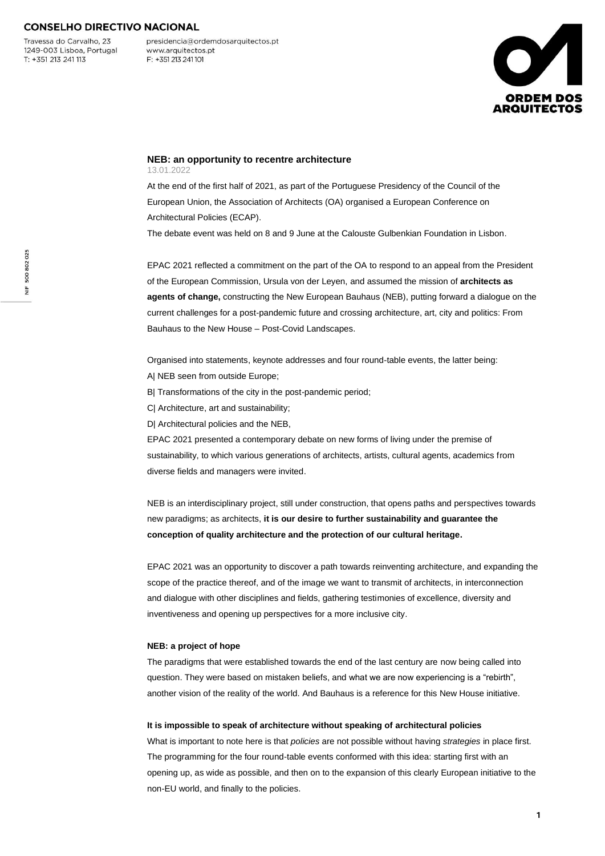Travessa do Carvalho, 23 1249-003 Lisboa, Portugal  $T: +351213241113$ 

presidencia@ordemdosarquitectos.pt www.arquitectos.pt F: +351 213 241 101



#### **NEB: an opportunity to recentre architecture** 13.01.2022

At the end of the first half of 2021, as part of the Portuguese Presidency of the Council of the European Union, the Association of Architects (OA) organised a European Conference on Architectural Policies (ECAP).

The debate event was held on 8 and 9 June at the Calouste Gulbenkian Foundation in Lisbon.

EPAC 2021 reflected a commitment on the part of the OA to respond to an appeal from the President of the European Commission, Ursula von der Leyen, and assumed the mission of **architects as agents of change,** constructing the New European Bauhaus (NEB), putting forward a dialogue on the current challenges for a post-pandemic future and crossing architecture, art, city and politics: From Bauhaus to the New House – Post-Covid Landscapes.

Organised into statements, keynote addresses and four round-table events, the latter being:

- A| NEB seen from outside Europe;
- B| Transformations of the city in the post-pandemic period;
- C| Architecture, art and sustainability;
- D| Architectural policies and the NEB,

EPAC 2021 presented a contemporary debate on new forms of living under the premise of sustainability, to which various generations of architects, artists, cultural agents, academics from diverse fields and managers were invited.

NEB is an interdisciplinary project, still under construction, that opens paths and perspectives towards new paradigms; as architects, **it is our desire to further sustainability and guarantee the conception of quality architecture and the protection of our cultural heritage.**

EPAC 2021 was an opportunity to discover a path towards reinventing architecture, and expanding the scope of the practice thereof, and of the image we want to transmit of architects, in interconnection and dialogue with other disciplines and fields, gathering testimonies of excellence, diversity and inventiveness and opening up perspectives for a more inclusive city.

#### **NEB: a project of hope**

The paradigms that were established towards the end of the last century are now being called into question. They were based on mistaken beliefs, and what we are now experiencing is a "rebirth", another vision of the reality of the world. And Bauhaus is a reference for this New House initiative.

#### **It is impossible to speak of architecture without speaking of architectural policies**

What is important to note here is that *policies* are not possible without having *strategies* in place first. The programming for the four round-table events conformed with this idea: starting first with an opening up, as wide as possible, and then on to the expansion of this clearly European initiative to the non-EU world, and finally to the policies.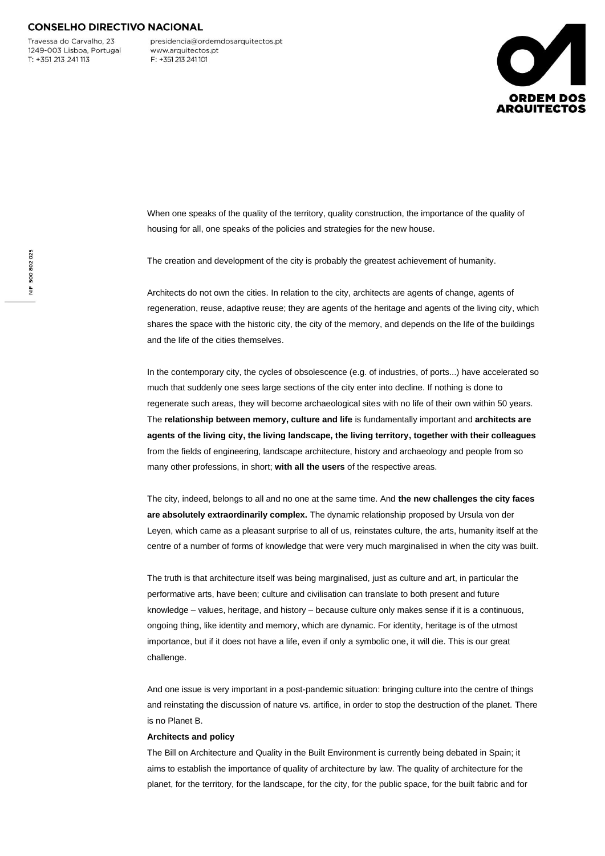Travessa do Carvalho, 23 1249-003 Lisboa, Portugal  $T: +351213241113$ 

presidencia@ordemdosarquitectos.pt www.arquitectos.pt F: +351 213 241 101



When one speaks of the quality of the territory, quality construction, the importance of the quality of housing for all, one speaks of the policies and strategies for the new house.

The creation and development of the city is probably the greatest achievement of humanity.

Architects do not own the cities. In relation to the city, architects are agents of change, agents of regeneration, reuse, adaptive reuse; they are agents of the heritage and agents of the living city, which shares the space with the historic city, the city of the memory, and depends on the life of the buildings and the life of the cities themselves.

In the contemporary city, the cycles of obsolescence (e.g. of industries, of ports...) have accelerated so much that suddenly one sees large sections of the city enter into decline. If nothing is done to regenerate such areas, they will become archaeological sites with no life of their own within 50 years. The **relationship between memory, culture and life** is fundamentally important and **architects are agents of the living city, the living landscape, the living territory, together with their colleagues** from the fields of engineering, landscape architecture, history and archaeology and people from so many other professions, in short; **with all the users** of the respective areas.

The city, indeed, belongs to all and no one at the same time. And **the new challenges the city faces are absolutely extraordinarily complex.** The dynamic relationship proposed by Ursula von der Leyen, which came as a pleasant surprise to all of us, reinstates culture, the arts, humanity itself at the centre of a number of forms of knowledge that were very much marginalised in when the city was built.

The truth is that architecture itself was being marginalised, just as culture and art, in particular the performative arts, have been; culture and civilisation can translate to both present and future knowledge – values, heritage, and history – because culture only makes sense if it is a continuous, ongoing thing, like identity and memory, which are dynamic. For identity, heritage is of the utmost importance, but if it does not have a life, even if only a symbolic one, it will die. This is our great challenge.

And one issue is very important in a post-pandemic situation: bringing culture into the centre of things and reinstating the discussion of nature vs. artifice, in order to stop the destruction of the planet. There is no Planet B.

#### **Architects and policy**

The Bill on Architecture and Quality in the Built Environment is currently being debated in Spain; it aims to establish the importance of quality of architecture by law. The quality of architecture for the planet, for the territory, for the landscape, for the city, for the public space, for the built fabric and for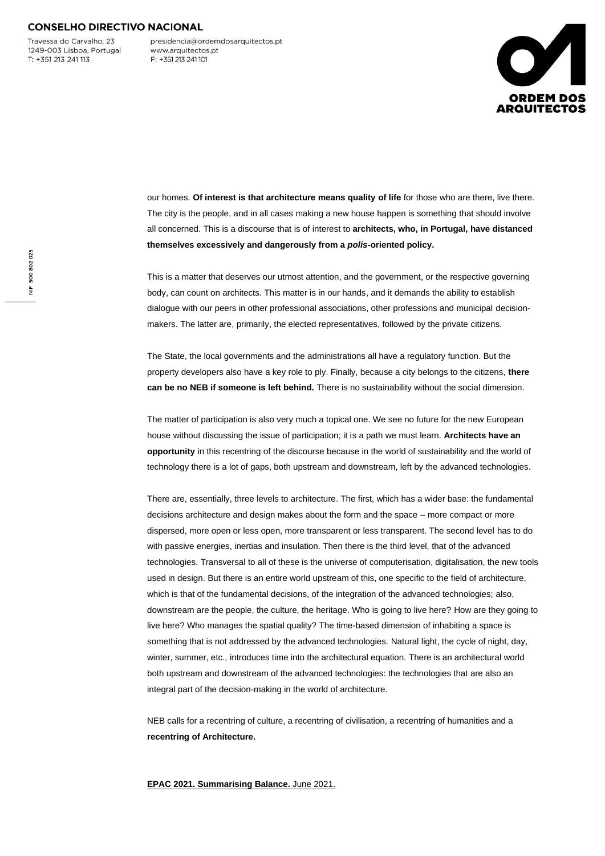Travessa do Carvalho, 23 1249-003 Lisboa, Portugal  $T: +351213241113$ 

presidencia@ordemdosarquitectos.pt www.arquitectos.pt F: +351 213 241 101



our homes. Of interest is that architecture means quality of life for those who are there, live there. The city is the people, and in all cases making a new house happen is something that should involve all concerned. This is a discourse that is of interest to **architects, who, in Portugal, have distanced themselves excessively and dangerously from a** *polis***-oriented policy.**

This is a matter that deserves our utmost attention, and the government, or the respective governing body, can count on architects. This matter is in our hands, and it demands the ability to establish dialogue with our peers in other professional associations, other professions and municipal decisionmakers. The latter are, primarily, the elected representatives, followed by the private citizens.

The State, the local governments and the administrations all have a regulatory function. But the property developers also have a key role to ply. Finally, because a city belongs to the citizens, **there can be no NEB if someone is left behind.** There is no sustainability without the social dimension.

The matter of participation is also very much a topical one. We see no future for the new European house without discussing the issue of participation; it is a path we must learn. **Architects have an opportunity** in this recentring of the discourse because in the world of sustainability and the world of technology there is a lot of gaps, both upstream and downstream, left by the advanced technologies.

There are, essentially, three levels to architecture. The first, which has a wider base: the fundamental decisions architecture and design makes about the form and the space – more compact or more dispersed, more open or less open, more transparent or less transparent. The second level has to do with passive energies, inertias and insulation. Then there is the third level, that of the advanced technologies. Transversal to all of these is the universe of computerisation, digitalisation, the new tools used in design. But there is an entire world upstream of this, one specific to the field of architecture, which is that of the fundamental decisions, of the integration of the advanced technologies; also, downstream are the people, the culture, the heritage. Who is going to live here? How are they going to live here? Who manages the spatial quality? The time-based dimension of inhabiting a space is something that is not addressed by the advanced technologies. Natural light, the cycle of night, day, winter, summer, etc., introduces time into the architectural equation. There is an architectural world both upstream and downstream of the advanced technologies: the technologies that are also an integral part of the decision-making in the world of architecture.

NEB calls for a recentring of culture, a recentring of civilisation, a recentring of humanities and a **recentring of Architecture.**

**EPAC 2021. Summarising Balance.** June 2021.